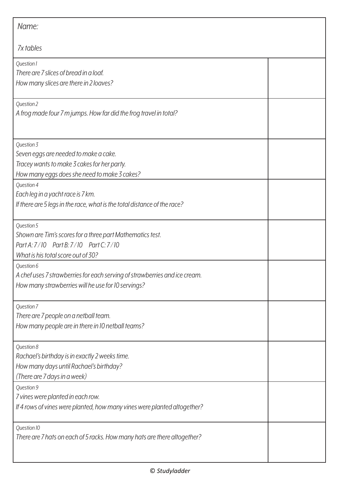| Name:                                                                                                                                                         |  |  |
|---------------------------------------------------------------------------------------------------------------------------------------------------------------|--|--|
| 7x tables                                                                                                                                                     |  |  |
| Question 1<br>There are 7 slices of bread in a loaf.<br>How many slices are there in 2 loaves?                                                                |  |  |
| Question 2<br>A frog made four 7 m jumps. How far did the frog travel in total?                                                                               |  |  |
| Question 3<br>Seven eggs are needed to make a cake.<br>Tracey wants to make 3 cakes for her party.<br>How many eggs does she need to make 3 cakes?            |  |  |
| Question 4<br>Each leg in a yacht race is 7 km.<br>If there are 5 legs in the race, what is the total distance of the race?                                   |  |  |
| Question 5<br>Shown are Tim's scores for a three part Mathematics test.<br>Part A: 7/10    Part B: 7/10    Part C: 7/10<br>What is his total score out of 30? |  |  |
| Question 6<br>A chef uses 7 strawberries for each serving of strawberries and ice cream.<br>How many strawberries will he use for 10 servings?                |  |  |
| Question 7<br>There are 7 people on a netball team.<br>How many people are in there in 10 netball teams?                                                      |  |  |
| Question 8<br>Rachael's birthday is in exactly 2 weeks time.<br>How many days until Rachael's birthday?<br>(There are 7 days in a week)                       |  |  |
| Question 9<br>7 vines were planted in each row.<br>If 4 rows of vines were planted, how many vines were planted altogether?                                   |  |  |
| Question 10<br>There are 7 hats on each of 5 racks. How many hats are there altogether?                                                                       |  |  |